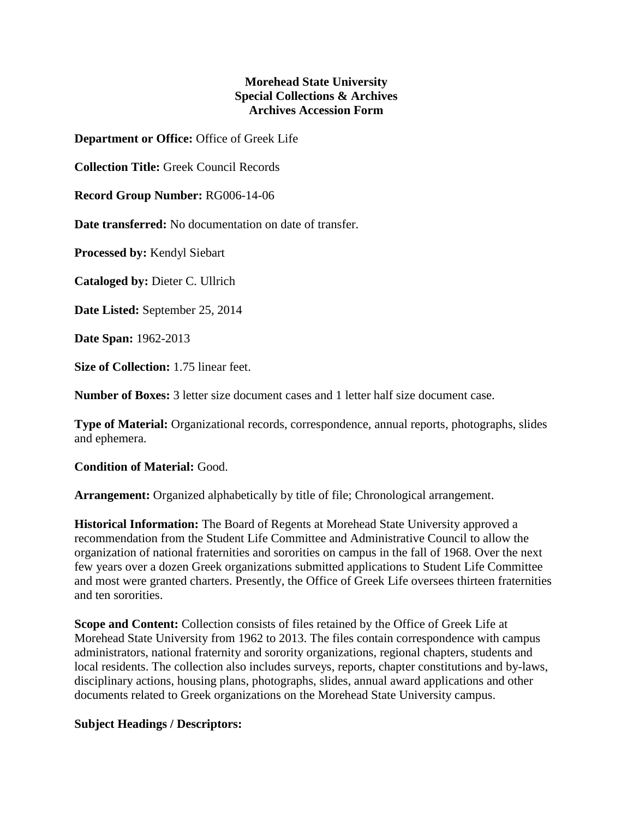## **Morehead State University Special Collections & Archives Archives Accession Form**

**Department or Office:** Office of Greek Life

**Collection Title:** Greek Council Records

**Record Group Number:** RG006-14-06

**Date transferred:** No documentation on date of transfer.

**Processed by:** Kendyl Siebart

**Cataloged by:** Dieter C. Ullrich

**Date Listed:** September 25, 2014

**Date Span:** 1962-2013

**Size of Collection:** 1.75 linear feet.

**Number of Boxes:** 3 letter size document cases and 1 letter half size document case.

**Type of Material:** Organizational records, correspondence, annual reports, photographs, slides and ephemera.

## **Condition of Material:** Good.

**Arrangement:** Organized alphabetically by title of file; Chronological arrangement.

**Historical Information:** The Board of Regents at Morehead State University approved a recommendation from the Student Life Committee and Administrative Council to allow the organization of national fraternities and sororities on campus in the fall of 1968. Over the next few years over a dozen Greek organizations submitted applications to Student Life Committee and most were granted charters. Presently, the Office of Greek Life oversees thirteen fraternities and ten sororities.

**Scope and Content:** Collection consists of files retained by the Office of Greek Life at Morehead State University from 1962 to 2013. The files contain correspondence with campus administrators, national fraternity and sorority organizations, regional chapters, students and local residents. The collection also includes surveys, reports, chapter constitutions and by-laws, disciplinary actions, housing plans, photographs, slides, annual award applications and other documents related to Greek organizations on the Morehead State University campus.

## **Subject Headings / Descriptors:**